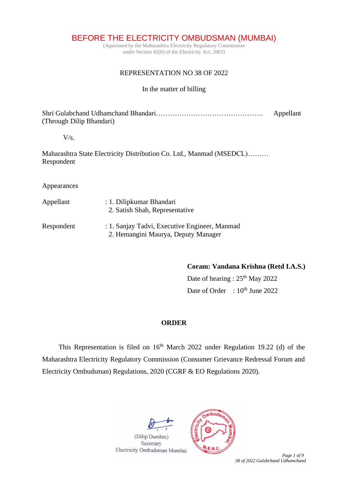BEFORE THE ELECTRICITY OMBUDSMAN (MUMBAI)

(Appointed by the Maharashtra Electricity Regulatory Commission under Section 42(6) of the Electricity Act, 2003)

# REPRESENTATION NO 38 OF 2022

## In the matter of billing

Shri Gulabchand Udhamchand Bhandari………………………………………. Appellant (Through Dilip Bhandari)

### V/s.

Maharashtra State Electricity Distribution Co. Ltd., Manmad (MSEDCL)……… Respondent

#### Appearances

| Appellant  | : 1. Dilipkumar Bhandari<br>2. Satish Shah, Representative                           |
|------------|--------------------------------------------------------------------------------------|
| Respondent | : 1. Sanjay Tadvi, Executive Engineer, Manmad<br>2. Hemangini Maurya, Deputy Manager |

**Coram: Vandana Krishna (Retd I.A.S.)**

Date of hearing :  $25<sup>th</sup>$  May 2022 Date of Order :  $10^{th}$  June 2022

## **ORDER**

This Representation is filed on  $16<sup>th</sup>$  March 2022 under Regulation 19.22 (d) of the Maharashtra Electricity Regulatory Commission (Consumer Grievance Redressal Forum and Electricity Ombudsman) Regulations, 2020 (CGRF & EO Regulations 2020).



 *Page 1 of 9 38 of 2022 Gulabchand Udhamchand*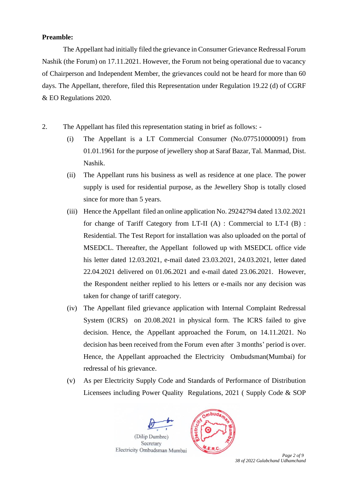### **Preamble:**

The Appellant had initially filed the grievance in Consumer Grievance Redressal Forum Nashik (the Forum) on 17.11.2021. However, the Forum not being operational due to vacancy of Chairperson and Independent Member, the grievances could not be heard for more than 60 days. The Appellant, therefore, filed this Representation under Regulation 19.22 (d) of CGRF & EO Regulations 2020.

- 2. The Appellant has filed this representation stating in brief as follows:
	- (i) The Appellant is a LT Commercial Consumer (No.077510000091) from 01.01.1961 for the purpose of jewellery shop at Saraf Bazar, Tal. Manmad, Dist. Nashik.
	- (ii) The Appellant runs his business as well as residence at one place. The power supply is used for residential purpose, as the Jewellery Shop is totally closed since for more than 5 years.
	- (iii) Hence the Appellant filed an online application No. 29242794 dated 13.02.2021 for change of Tariff Category from LT-II (A) : Commercial to LT-I (B) : Residential. The Test Report for installation was also uploaded on the portal of MSEDCL. Thereafter, the Appellant followed up with MSEDCL office vide his letter dated 12.03.2021, e-mail dated 23.03.2021, 24.03.2021, letter dated 22.04.2021 delivered on 01.06.2021 and e-mail dated 23.06.2021. However, the Respondent neither replied to his letters or e-mails nor any decision was taken for change of tariff category.
	- (iv) The Appellant filed grievance application with Internal Complaint Redressal System (ICRS) on 20.08.2021 in physical form. The ICRS failed to give decision. Hence, the Appellant approached the Forum, on 14.11.2021. No decision has been received from the Forum even after 3 months' period is over. Hence, the Appellant approached the Electricity Ombudsman(Mumbai) for redressal of his grievance.
	- (v) As per Electricity Supply Code and Standards of Performance of Distribution Licensees including Power Quality Regulations, 2021 ( Supply Code & SOP



*38 of 2022 Gulabchand Udhamchand*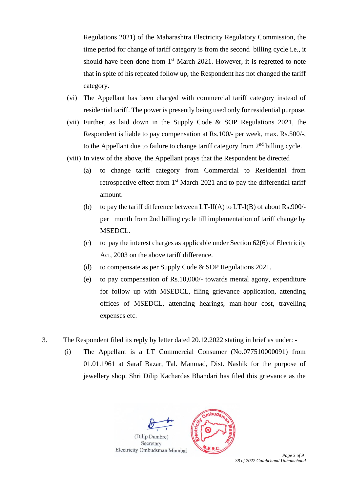Regulations 2021) of the Maharashtra Electricity Regulatory Commission, the time period for change of tariff category is from the second billing cycle i.e., it should have been done from  $1<sup>st</sup> March-2021$ . However, it is regretted to note that in spite of his repeated follow up, the Respondent has not changed the tariff category.

- (vi) The Appellant has been charged with commercial tariff category instead of residential tariff. The power is presently being used only for residential purpose.
- (vii) Further, as laid down in the Supply Code & SOP Regulations 2021, the Respondent is liable to pay compensation at Rs.100/- per week, max. Rs.500/-, to the Appellant due to failure to change tariff category from  $2<sup>nd</sup>$  billing cycle.
- (viii) In view of the above, the Appellant prays that the Respondent be directed
	- (a) to change tariff category from Commercial to Residential from retrospective effect from  $1<sup>st</sup>$  March-2021 and to pay the differential tariff amount.
	- (b) to pay the tariff difference between  $LT-I(A)$  to  $LT-I(B)$  of about Rs.900/per month from 2nd billing cycle till implementation of tariff change by MSEDCL.
	- (c) to pay the interest charges as applicable under Section  $62(6)$  of Electricity Act, 2003 on the above tariff difference.
	- (d) to compensate as per Supply Code & SOP Regulations 2021.
	- (e) to pay compensation of Rs.10,000/- towards mental agony, expenditure for follow up with MSEDCL, filing grievance application, attending offices of MSEDCL, attending hearings, man-hour cost, travelling expenses etc.
- 3. The Respondent filed its reply by letter dated 20.12.2022 stating in brief as under:
	- (i) The Appellant is a LT Commercial Consumer (No.077510000091) from 01.01.1961 at Saraf Bazar, Tal. Manmad, Dist. Nashik for the purpose of jewellery shop. Shri Dilip Kachardas Bhandari has filed this grievance as the



*38 of 2022 Gulabchand Udhamchand*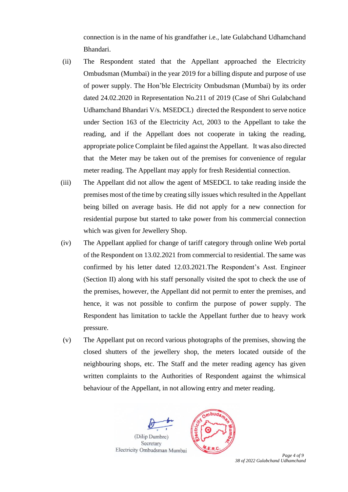connection is in the name of his grandfather i.e., late Gulabchand Udhamchand Bhandari.

- (ii) The Respondent stated that the Appellant approached the Electricity Ombudsman (Mumbai) in the year 2019 for a billing dispute and purpose of use of power supply. The Hon'ble Electricity Ombudsman (Mumbai) by its order dated 24.02.2020 in Representation No.211 of 2019 (Case of Shri Gulabchand Udhamchand Bhandari V/s. MSEDCL) directed the Respondent to serve notice under Section 163 of the Electricity Act, 2003 to the Appellant to take the reading, and if the Appellant does not cooperate in taking the reading, appropriate police Complaint be filed against the Appellant. It was also directed that the Meter may be taken out of the premises for convenience of regular meter reading. The Appellant may apply for fresh Residential connection.
- (iii) The Appellant did not allow the agent of MSEDCL to take reading inside the premises most of the time by creating silly issues which resulted in the Appellant being billed on average basis. He did not apply for a new connection for residential purpose but started to take power from his commercial connection which was given for Jewellery Shop.
- (iv) The Appellant applied for change of tariff category through online Web portal of the Respondent on 13.02.2021 from commercial to residential. The same was confirmed by his letter dated 12.03.2021.The Respondent's Asst. Engineer (Section II) along with his staff personally visited the spot to check the use of the premises, however, the Appellant did not permit to enter the premises, and hence, it was not possible to confirm the purpose of power supply. The Respondent has limitation to tackle the Appellant further due to heavy work pressure.
- (v) The Appellant put on record various photographs of the premises, showing the closed shutters of the jewellery shop, the meters located outside of the neighbouring shops, etc. The Staff and the meter reading agency has given written complaints to the Authorities of Respondent against the whimsical behaviour of the Appellant, in not allowing entry and meter reading.



*38 of 2022 Gulabchand Udhamchand*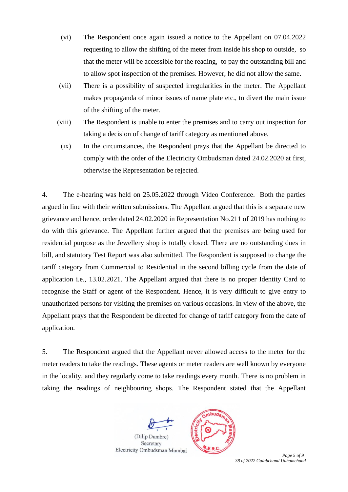- (vi) The Respondent once again issued a notice to the Appellant on 07.04.2022 requesting to allow the shifting of the meter from inside his shop to outside, so that the meter will be accessible for the reading, to pay the outstanding bill and to allow spot inspection of the premises. However, he did not allow the same.
- (vii) There is a possibility of suspected irregularities in the meter. The Appellant makes propaganda of minor issues of name plate etc., to divert the main issue of the shifting of the meter.
- (viii) The Respondent is unable to enter the premises and to carry out inspection for taking a decision of change of tariff category as mentioned above.
	- (ix) In the circumstances, the Respondent prays that the Appellant be directed to comply with the order of the Electricity Ombudsman dated 24.02.2020 at first, otherwise the Representation be rejected.

4. The e-hearing was held on 25.05.2022 through Video Conference. Both the parties argued in line with their written submissions. The Appellant argued that this is a separate new grievance and hence, order dated 24.02.2020 in Representation No.211 of 2019 has nothing to do with this grievance. The Appellant further argued that the premises are being used for residential purpose as the Jewellery shop is totally closed. There are no outstanding dues in bill, and statutory Test Report was also submitted. The Respondent is supposed to change the tariff category from Commercial to Residential in the second billing cycle from the date of application i.e., 13.02.2021. The Appellant argued that there is no proper Identity Card to recognise the Staff or agent of the Respondent. Hence, it is very difficult to give entry to unauthorized persons for visiting the premises on various occasions. In view of the above, the Appellant prays that the Respondent be directed for change of tariff category from the date of application.

5. The Respondent argued that the Appellant never allowed access to the meter for the meter readers to take the readings. These agents or meter readers are well known by everyone in the locality, and they regularly come to take readings every month. There is no problem in taking the readings of neighbouring shops. The Respondent stated that the Appellant



*38 of 2022 Gulabchand Udhamchand*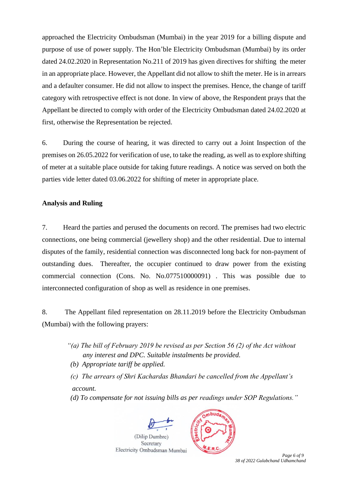approached the Electricity Ombudsman (Mumbai) in the year 2019 for a billing dispute and purpose of use of power supply. The Hon'ble Electricity Ombudsman (Mumbai) by its order dated 24.02.2020 in Representation No.211 of 2019 has given directives for shifting the meter in an appropriate place. However, the Appellant did not allow to shift the meter. He is in arrears and a defaulter consumer. He did not allow to inspect the premises. Hence, the change of tariff category with retrospective effect is not done. In view of above, the Respondent prays that the Appellant be directed to comply with order of the Electricity Ombudsman dated 24.02.2020 at first, otherwise the Representation be rejected.

6. During the course of hearing, it was directed to carry out a Joint Inspection of the premises on 26.05.2022 for verification of use, to take the reading, as well as to explore shifting of meter at a suitable place outside for taking future readings. A notice was served on both the parties vide letter dated 03.06.2022 for shifting of meter in appropriate place.

# **Analysis and Ruling**

7. Heard the parties and perused the documents on record. The premises had two electric connections, one being commercial (jewellery shop) and the other residential. Due to internal disputes of the family, residential connection was disconnected long back for non-payment of outstanding dues. Thereafter, the occupier continued to draw power from the existing commercial connection (Cons. No. No.077510000091) . This was possible due to interconnected configuration of shop as well as residence in one premises.

8. The Appellant filed representation on 28.11.2019 before the Electricity Ombudsman (Mumbai) with the following prayers:

- *"(a) The bill of February 2019 be revised as per Section 56 (2) of the Act without any interest and DPC. Suitable instalments be provided.*
- *(b) Appropriate tariff be applied.*
- *(c) The arrears of Shri Kachardas Bhandari be cancelled from the Appellant's account.*

 *(d) To compensate for not issuing bills as per readings under SOP Regulations."* 





 *Page 6 of 9 38 of 2022 Gulabchand Udhamchand*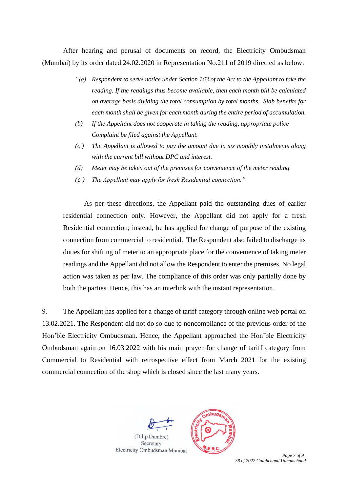After hearing and perusal of documents on record, the Electricity Ombudsman (Mumbai) by its order dated 24.02.2020 in Representation No.211 of 2019 directed as below:

- *"(a) Respondent to serve notice under Section 163 of the Act to the Appellant to take the reading. If the readings thus become available, then each month bill be calculated on average basis dividing the total consumption by total months. Slab benefits for each month shall be given for each month during the entire period of accumulation.*
- *(b) If the Appellant does not cooperate in taking the reading, appropriate police Complaint be filed against the Appellant.*
- *(c ) The Appellant is allowed to pay the amount due in six monthly instalments along with the current bill without DPC and interest.*
- *(d) Meter may be taken out of the premises for convenience of the meter reading.*
- *(e ) The Appellant may apply for fresh Residential connection."*

As per these directions, the Appellant paid the outstanding dues of earlier residential connection only. However, the Appellant did not apply for a fresh Residential connection; instead, he has applied for change of purpose of the existing connection from commercial to residential. The Respondent also failed to discharge its duties for shifting of meter to an appropriate place for the convenience of taking meter readings and the Appellant did not allow the Respondent to enter the premises. No legal action was taken as per law. The compliance of this order was only partially done by both the parties. Hence, this has an interlink with the instant representation.

9. The Appellant has applied for a change of tariff category through online web portal on 13.02.2021. The Respondent did not do so due to noncompliance of the previous order of the Hon'ble Electricity Ombudsman. Hence, the Appellant approached the Hon'ble Electricity Ombudsman again on 16.03.2022 with his main prayer for change of tariff category from Commercial to Residential with retrospective effect from March 2021 for the existing commercial connection of the shop which is closed since the last many years.



*38 of 2022 Gulabchand Udhamchand*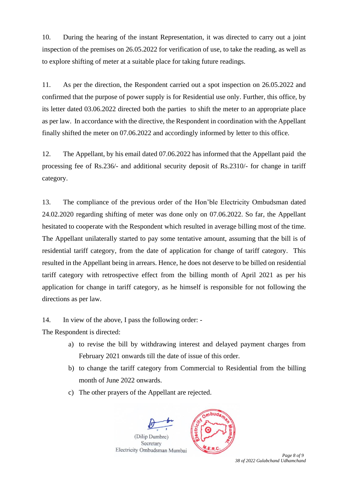10. During the hearing of the instant Representation, it was directed to carry out a joint inspection of the premises on 26.05.2022 for verification of use, to take the reading, as well as to explore shifting of meter at a suitable place for taking future readings.

11. As per the direction, the Respondent carried out a spot inspection on 26.05.2022 and confirmed that the purpose of power supply is for Residential use only. Further, this office, by its letter dated 03.06.2022 directed both the parties to shift the meter to an appropriate place as per law. In accordance with the directive, the Respondent in coordination with the Appellant finally shifted the meter on 07.06.2022 and accordingly informed by letter to this office.

12. The Appellant, by his email dated 07.06.2022 has informed that the Appellant paid the processing fee of Rs.236/- and additional security deposit of Rs.2310/- for change in tariff category.

13. The compliance of the previous order of the Hon'ble Electricity Ombudsman dated 24.02.2020 regarding shifting of meter was done only on 07.06.2022. So far, the Appellant hesitated to cooperate with the Respondent which resulted in average billing most of the time. The Appellant unilaterally started to pay some tentative amount, assuming that the bill is of residential tariff category, from the date of application for change of tariff category. This resulted in the Appellant being in arrears. Hence, he does not deserve to be billed on residential tariff category with retrospective effect from the billing month of April 2021 as per his application for change in tariff category, as he himself is responsible for not following the directions as per law.

14. In view of the above, I pass the following order: -

The Respondent is directed:

- a) to revise the bill by withdrawing interest and delayed payment charges from February 2021 onwards till the date of issue of this order.
- b) to change the tariff category from Commercial to Residential from the billing month of June 2022 onwards.
- c) The other prayers of the Appellant are rejected.



*38 of 2022 Gulabchand Udhamchand*